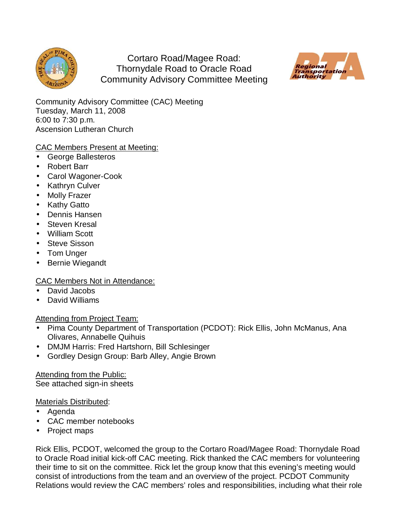

Cortaro Road/Magee Road: Thornydale Road to Oracle Road Community Advisory Committee Meeting



Community Advisory Committee (CAC) Meeting Tuesday, March 11, 2008 6:00 to 7:30 p.m. Ascension Lutheran Church

# CAC Members Present at Meeting:

- George Ballesteros
- Robert Barr
- Carol Wagoner-Cook
- Kathryn Culver
- Molly Frazer
- Kathy Gatto
- Dennis Hansen
- Steven Kresal
- William Scott
- Steve Sisson
- Tom Unger
- Bernie Wiegandt

# CAC Members Not in Attendance:

- David Jacobs
- David Williams

### Attending from Project Team:

- Pima County Department of Transportation (PCDOT): Rick Ellis, John McManus, Ana Olivares, Annabelle Quihuis
- DMJM Harris: Fred Hartshorn, Bill Schlesinger
- Gordley Design Group: Barb Alley, Angie Brown

Attending from the Public: See attached sign-in sheets

### Materials Distributed:

- Agenda
- CAC member notebooks
- Project maps

Rick Ellis, PCDOT, welcomed the group to the Cortaro Road/Magee Road: Thornydale Road to Oracle Road initial kick-off CAC meeting. Rick thanked the CAC members for volunteering their time to sit on the committee. Rick let the group know that this evening's meeting would consist of introductions from the team and an overview of the project. PCDOT Community Relations would review the CAC members' roles and responsibilities, including what their role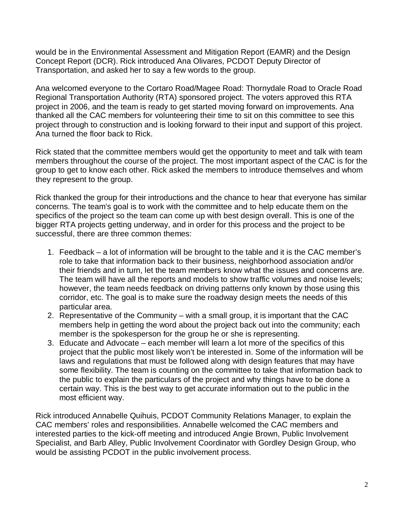would be in the Environmental Assessment and Mitigation Report (EAMR) and the Design Concept Report (DCR). Rick introduced Ana Olivares, PCDOT Deputy Director of Transportation, and asked her to say a few words to the group.

Ana welcomed everyone to the Cortaro Road/Magee Road: Thornydale Road to Oracle Road Regional Transportation Authority (RTA) sponsored project. The voters approved this RTA project in 2006, and the team is ready to get started moving forward on improvements. Ana thanked all the CAC members for volunteering their time to sit on this committee to see this project through to construction and is looking forward to their input and support of this project. Ana turned the floor back to Rick.

Rick stated that the committee members would get the opportunity to meet and talk with team members throughout the course of the project. The most important aspect of the CAC is for the group to get to know each other. Rick asked the members to introduce themselves and whom they represent to the group.

Rick thanked the group for their introductions and the chance to hear that everyone has similar concerns. The team's goal is to work with the committee and to help educate them on the specifics of the project so the team can come up with best design overall. This is one of the bigger RTA projects getting underway, and in order for this process and the project to be successful, there are three common themes:

- 1. Feedback a lot of information will be brought to the table and it is the CAC member's role to take that information back to their business, neighborhood association and/or their friends and in turn, let the team members know what the issues and concerns are. The team will have all the reports and models to show traffic volumes and noise levels; however, the team needs feedback on driving patterns only known by those using this corridor, etc. The goal is to make sure the roadway design meets the needs of this particular area.
- 2. Representative of the Community with a small group, it is important that the CAC members help in getting the word about the project back out into the community; each member is the spokesperson for the group he or she is representing.
- 3. Educate and Advocate each member will learn a lot more of the specifics of this project that the public most likely won't be interested in. Some of the information will be laws and regulations that must be followed along with design features that may have some flexibility. The team is counting on the committee to take that information back to the public to explain the particulars of the project and why things have to be done a certain way. This is the best way to get accurate information out to the public in the most efficient way.

Rick introduced Annabelle Quihuis, PCDOT Community Relations Manager, to explain the CAC members' roles and responsibilities. Annabelle welcomed the CAC members and interested parties to the kick-off meeting and introduced Angie Brown, Public Involvement Specialist, and Barb Alley, Public Involvement Coordinator with Gordley Design Group, who would be assisting PCDOT in the public involvement process.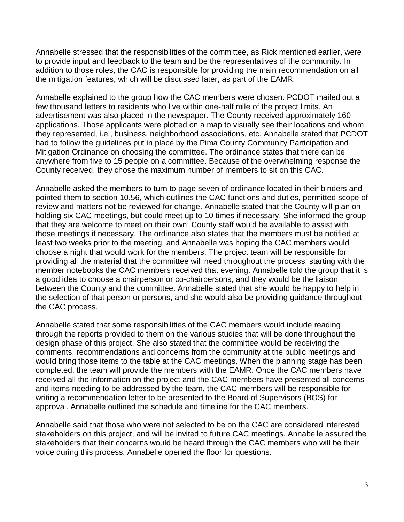Annabelle stressed that the responsibilities of the committee, as Rick mentioned earlier, were to provide input and feedback to the team and be the representatives of the community. In addition to those roles, the CAC is responsible for providing the main recommendation on all the mitigation features, which will be discussed later, as part of the EAMR.

Annabelle explained to the group how the CAC members were chosen. PCDOT mailed out a few thousand letters to residents who live within one-half mile of the project limits. An advertisement was also placed in the newspaper. The County received approximately 160 applications. Those applicants were plotted on a map to visually see their locations and whom they represented, i.e., business, neighborhood associations, etc. Annabelle stated that PCDOT had to follow the guidelines put in place by the Pima County Community Participation and Mitigation Ordinance on choosing the committee. The ordinance states that there can be anywhere from five to 15 people on a committee. Because of the overwhelming response the County received, they chose the maximum number of members to sit on this CAC.

Annabelle asked the members to turn to page seven of ordinance located in their binders and pointed them to section 10.56, which outlines the CAC functions and duties, permitted scope of review and matters not be reviewed for change. Annabelle stated that the County will plan on holding six CAC meetings, but could meet up to 10 times if necessary. She informed the group that they are welcome to meet on their own; County staff would be available to assist with those meetings if necessary. The ordinance also states that the members must be notified at least two weeks prior to the meeting, and Annabelle was hoping the CAC members would choose a night that would work for the members. The project team will be responsible for providing all the material that the committee will need throughout the process, starting with the member notebooks the CAC members received that evening. Annabelle told the group that it is a good idea to choose a chairperson or co-chairpersons, and they would be the liaison between the County and the committee. Annabelle stated that she would be happy to help in the selection of that person or persons, and she would also be providing guidance throughout the CAC process.

Annabelle stated that some responsibilities of the CAC members would include reading through the reports provided to them on the various studies that will be done throughout the design phase of this project. She also stated that the committee would be receiving the comments, recommendations and concerns from the community at the public meetings and would bring those items to the table at the CAC meetings. When the planning stage has been completed, the team will provide the members with the EAMR. Once the CAC members have received all the information on the project and the CAC members have presented all concerns and items needing to be addressed by the team, the CAC members will be responsible for writing a recommendation letter to be presented to the Board of Supervisors (BOS) for approval. Annabelle outlined the schedule and timeline for the CAC members.

Annabelle said that those who were not selected to be on the CAC are considered interested stakeholders on this project, and will be invited to future CAC meetings. Annabelle assured the stakeholders that their concerns would be heard through the CAC members who will be their voice during this process. Annabelle opened the floor for questions.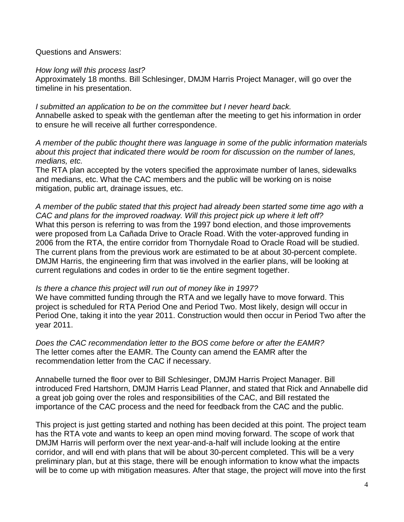Questions and Answers:

#### How long will this process last?

Approximately 18 months. Bill Schlesinger, DMJM Harris Project Manager, will go over the timeline in his presentation.

I submitted an application to be on the committee but I never heard back. Annabelle asked to speak with the gentleman after the meeting to get his information in order to ensure he will receive all further correspondence.

A member of the public thought there was language in some of the public information materials about this project that indicated there would be room for discussion on the number of lanes, medians, etc.

The RTA plan accepted by the voters specified the approximate number of lanes, sidewalks and medians, etc. What the CAC members and the public will be working on is noise mitigation, public art, drainage issues, etc.

A member of the public stated that this project had already been started some time ago with a CAC and plans for the improved roadway. Will this project pick up where it left off? What this person is referring to was from the 1997 bond election, and those improvements were proposed from La Cañada Drive to Oracle Road. With the voter-approved funding in 2006 from the RTA, the entire corridor from Thornydale Road to Oracle Road will be studied. The current plans from the previous work are estimated to be at about 30-percent complete. DMJM Harris, the engineering firm that was involved in the earlier plans, will be looking at current regulations and codes in order to tie the entire segment together.

#### Is there a chance this project will run out of money like in 1997?

We have committed funding through the RTA and we legally have to move forward. This project is scheduled for RTA Period One and Period Two. Most likely, design will occur in Period One, taking it into the year 2011. Construction would then occur in Period Two after the year 2011.

Does the CAC recommendation letter to the BOS come before or after the EAMR? The letter comes after the EAMR. The County can amend the EAMR after the recommendation letter from the CAC if necessary.

Annabelle turned the floor over to Bill Schlesinger, DMJM Harris Project Manager. Bill introduced Fred Hartshorn, DMJM Harris Lead Planner, and stated that Rick and Annabelle did a great job going over the roles and responsibilities of the CAC, and Bill restated the importance of the CAC process and the need for feedback from the CAC and the public.

This project is just getting started and nothing has been decided at this point. The project team has the RTA vote and wants to keep an open mind moving forward. The scope of work that DMJM Harris will perform over the next year-and-a-half will include looking at the entire corridor, and will end with plans that will be about 30-percent completed. This will be a very preliminary plan, but at this stage, there will be enough information to know what the impacts will be to come up with mitigation measures. After that stage, the project will move into the first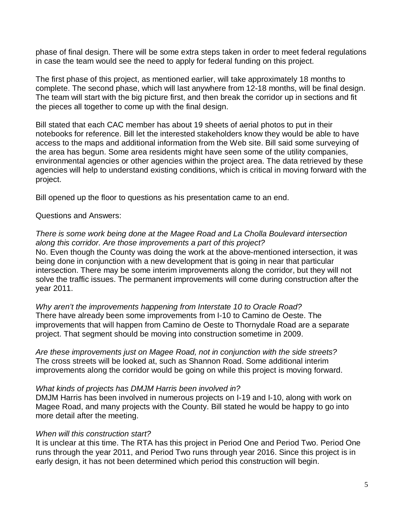phase of final design. There will be some extra steps taken in order to meet federal regulations in case the team would see the need to apply for federal funding on this project.

The first phase of this project, as mentioned earlier, will take approximately 18 months to complete. The second phase, which will last anywhere from 12-18 months, will be final design. The team will start with the big picture first, and then break the corridor up in sections and fit the pieces all together to come up with the final design.

Bill stated that each CAC member has about 19 sheets of aerial photos to put in their notebooks for reference. Bill let the interested stakeholders know they would be able to have access to the maps and additional information from the Web site. Bill said some surveying of the area has begun. Some area residents might have seen some of the utility companies, environmental agencies or other agencies within the project area. The data retrieved by these agencies will help to understand existing conditions, which is critical in moving forward with the project.

Bill opened up the floor to questions as his presentation came to an end.

Questions and Answers:

#### There is some work being done at the Magee Road and La Cholla Boulevard intersection along this corridor. Are those improvements a part of this project?

No. Even though the County was doing the work at the above-mentioned intersection, it was being done in conjunction with a new development that is going in near that particular intersection. There may be some interim improvements along the corridor, but they will not solve the traffic issues. The permanent improvements will come during construction after the year 2011.

Why aren't the improvements happening from Interstate 10 to Oracle Road? There have already been some improvements from I-10 to Camino de Oeste. The improvements that will happen from Camino de Oeste to Thornydale Road are a separate project. That segment should be moving into construction sometime in 2009.

Are these improvements just on Magee Road, not in conjunction with the side streets? The cross streets will be looked at, such as Shannon Road. Some additional interim improvements along the corridor would be going on while this project is moving forward.

### What kinds of projects has DMJM Harris been involved in?

DMJM Harris has been involved in numerous projects on I-19 and I-10, along with work on Magee Road, and many projects with the County. Bill stated he would be happy to go into more detail after the meeting.

### When will this construction start?

It is unclear at this time. The RTA has this project in Period One and Period Two. Period One runs through the year 2011, and Period Two runs through year 2016. Since this project is in early design, it has not been determined which period this construction will begin.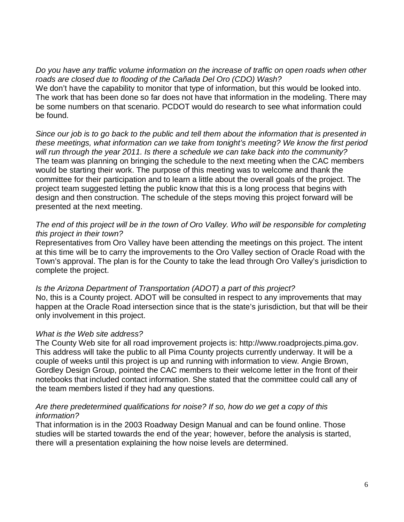Do you have any traffic volume information on the increase of traffic on open roads when other roads are closed due to flooding of the Cañada Del Oro (CDO) Wash? We don't have the capability to monitor that type of information, but this would be looked into. The work that has been done so far does not have that information in the modeling. There may be some numbers on that scenario. PCDOT would do research to see what information could be found.

Since our job is to go back to the public and tell them about the information that is presented in these meetings, what information can we take from tonight's meeting? We know the first period will run through the year 2011. Is there a schedule we can take back into the community? The team was planning on bringing the schedule to the next meeting when the CAC members would be starting their work. The purpose of this meeting was to welcome and thank the committee for their participation and to learn a little about the overall goals of the project. The project team suggested letting the public know that this is a long process that begins with design and then construction. The schedule of the steps moving this project forward will be presented at the next meeting.

## The end of this project will be in the town of Oro Valley. Who will be responsible for completing this project in their town?

Representatives from Oro Valley have been attending the meetings on this project. The intent at this time will be to carry the improvements to the Oro Valley section of Oracle Road with the Town's approval. The plan is for the County to take the lead through Oro Valley's jurisdiction to complete the project.

### Is the Arizona Department of Transportation (ADOT) a part of this project?

No, this is a County project. ADOT will be consulted in respect to any improvements that may happen at the Oracle Road intersection since that is the state's jurisdiction, but that will be their only involvement in this project.

# What is the Web site address?

The County Web site for all road improvement projects is: http://www.roadprojects.pima.gov. This address will take the public to all Pima County projects currently underway. It will be a couple of weeks until this project is up and running with information to view. Angie Brown, Gordley Design Group, pointed the CAC members to their welcome letter in the front of their notebooks that included contact information. She stated that the committee could call any of the team members listed if they had any questions.

### Are there predetermined qualifications for noise? If so, how do we get a copy of this information?

That information is in the 2003 Roadway Design Manual and can be found online. Those studies will be started towards the end of the year; however, before the analysis is started, there will a presentation explaining the how noise levels are determined.